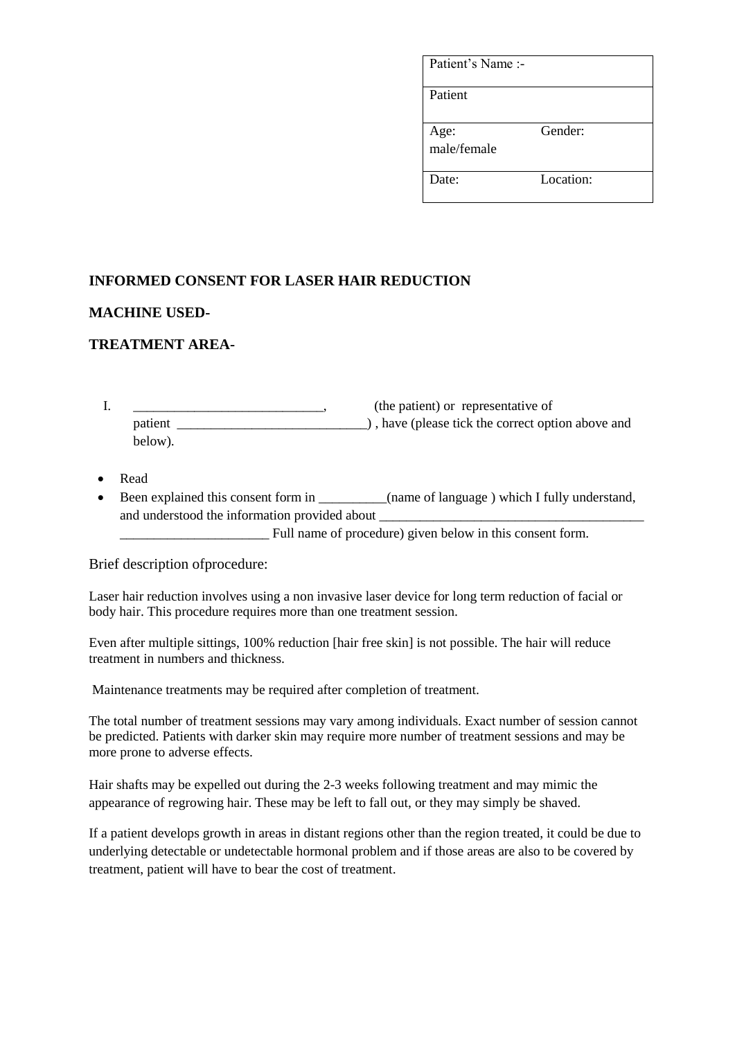| Patient's Name:-    |           |
|---------------------|-----------|
| Patient             |           |
| Age:<br>male/female | Gender:   |
| Date:               | Location: |

# **INFORMED CONSENT FOR LASER HAIR REDUCTION**

# **MACHINE USED-**

# **TREATMENT AREA-**

|         | (the patient) or representative of                |
|---------|---------------------------------------------------|
| patient | ), have (please tick the correct option above and |
| below). |                                                   |

- Read
- Been explained this consent form in (name of language ) which I fully understand, and understood the information provided about

Full name of procedure) given below in this consent form.

Brief description ofprocedure:

Laser hair reduction involves using a non invasive laser device for long term reduction of facial or body hair. This procedure requires more than one treatment session.

Even after multiple sittings, 100% reduction [hair free skin] is not possible. The hair will reduce treatment in numbers and thickness.

Maintenance treatments may be required after completion of treatment.

The total number of treatment sessions may vary among individuals. Exact number of session cannot be predicted. Patients with darker skin may require more number of treatment sessions and may be more prone to adverse effects.

Hair shafts may be expelled out during the 2-3 weeks following treatment and may mimic the appearance of regrowing hair. These may be left to fall out, or they may simply be shaved.

If a patient develops growth in areas in distant regions other than the region treated, it could be due to underlying detectable or undetectable hormonal problem and if those areas are also to be covered by treatment, patient will have to bear the cost of treatment.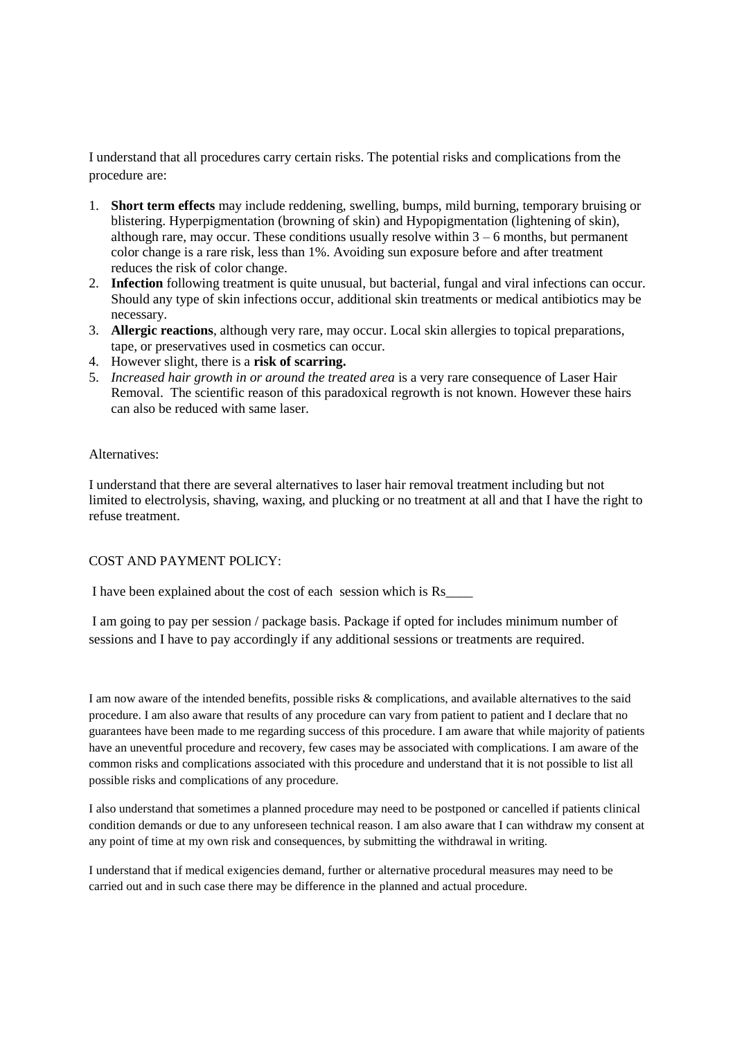I understand that all procedures carry certain risks. The potential risks and complications from the procedure are:

- 1. **Short term effects** may include reddening, swelling, bumps, mild burning, temporary bruising or blistering. Hyperpigmentation (browning of skin) and Hypopigmentation (lightening of skin), although rare, may occur. These conditions usually resolve within  $3 - 6$  months, but permanent color change is a rare risk, less than 1%. Avoiding sun exposure before and after treatment reduces the risk of color change.
- 2. **Infection** following treatment is quite unusual, but bacterial, fungal and viral infections can occur. Should any type of skin infections occur, additional skin treatments or medical antibiotics may be necessary.
- 3. **Allergic reactions**, although very rare, may occur. Local skin allergies to topical preparations, tape, or preservatives used in cosmetics can occur.
- 4. However slight, there is a **risk of scarring.**
- 5. *Increased hair growth in or around the treated area* is a very rare consequence of Laser Hair Removal. The scientific reason of this paradoxical regrowth is not known. However these hairs can also be reduced with same laser.

### Alternatives:

I understand that there are several alternatives to laser hair removal treatment including but not limited to electrolysis, shaving, waxing, and plucking or no treatment at all and that I have the right to refuse treatment.

### COST AND PAYMENT POLICY:

I have been explained about the cost of each session which is Rs\_\_\_\_

I am going to pay per session / package basis. Package if opted for includes minimum number of sessions and I have to pay accordingly if any additional sessions or treatments are required.

I am now aware of the intended benefits, possible risks & complications, and available alternatives to the said procedure. I am also aware that results of any procedure can vary from patient to patient and I declare that no guarantees have been made to me regarding success of this procedure. I am aware that while majority of patients have an uneventful procedure and recovery, few cases may be associated with complications. I am aware of the common risks and complications associated with this procedure and understand that it is not possible to list all possible risks and complications of any procedure.

I also understand that sometimes a planned procedure may need to be postponed or cancelled if patients clinical condition demands or due to any unforeseen technical reason. I am also aware that I can withdraw my consent at any point of time at my own risk and consequences, by submitting the withdrawal in writing.

I understand that if medical exigencies demand, further or alternative procedural measures may need to be carried out and in such case there may be difference in the planned and actual procedure.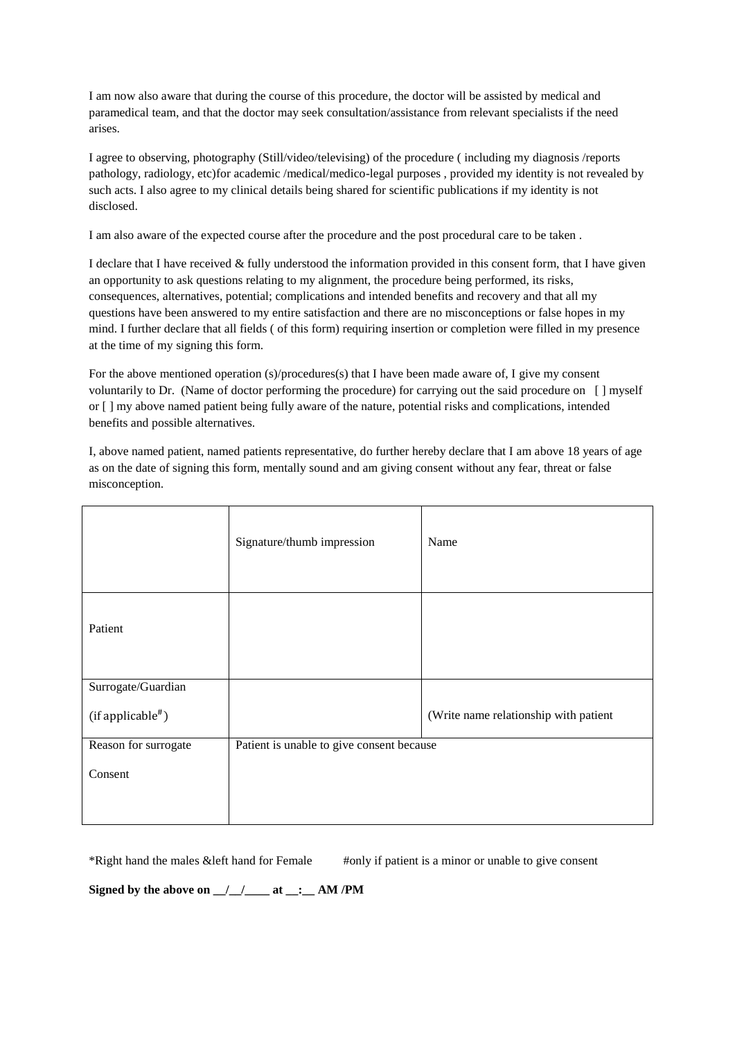I am now also aware that during the course of this procedure, the doctor will be assisted by medical and paramedical team, and that the doctor may seek consultation/assistance from relevant specialists if the need arises.

I agree to observing, photography (Still/video/televising) of the procedure ( including my diagnosis /reports pathology, radiology, etc)for academic /medical/medico-legal purposes , provided my identity is not revealed by such acts. I also agree to my clinical details being shared for scientific publications if my identity is not disclosed.

I am also aware of the expected course after the procedure and the post procedural care to be taken .

I declare that I have received & fully understood the information provided in this consent form, that I have given an opportunity to ask questions relating to my alignment, the procedure being performed, its risks, consequences, alternatives, potential; complications and intended benefits and recovery and that all my questions have been answered to my entire satisfaction and there are no misconceptions or false hopes in my mind. I further declare that all fields ( of this form) requiring insertion or completion were filled in my presence at the time of my signing this form.

For the above mentioned operation (s)/procedures(s) that I have been made aware of, I give my consent voluntarily to Dr. (Name of doctor performing the procedure) for carrying out the said procedure on [ ] myself or [ ] my above named patient being fully aware of the nature, potential risks and complications, intended benefits and possible alternatives.

I, above named patient, named patients representative, do further hereby declare that I am above 18 years of age as on the date of signing this form, mentally sound and am giving consent without any fear, threat or false misconception.

|                      | Signature/thumb impression                | Name                                  |
|----------------------|-------------------------------------------|---------------------------------------|
| Patient              |                                           |                                       |
| Surrogate/Guardian   |                                           |                                       |
| (if applicable#)     |                                           | (Write name relationship with patient |
| Reason for surrogate | Patient is unable to give consent because |                                       |
| Consent              |                                           |                                       |

\*Right hand the males &left hand for Female #only if patient is a minor or unable to give consent

**Signed by the above on**  $\frac{1}{1}$  **at**  $\frac{1}{1}$  **at**  $\frac{1}{1}$  **AM /PM**